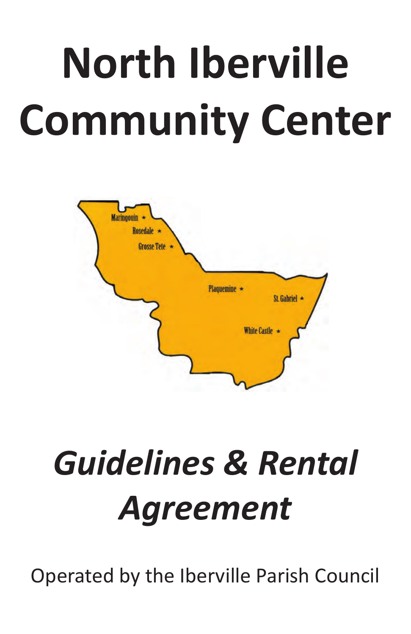# **North Iberville Community Center**



# *Guidelines & Rental Agreement*

Operated by the Iberville Parish Council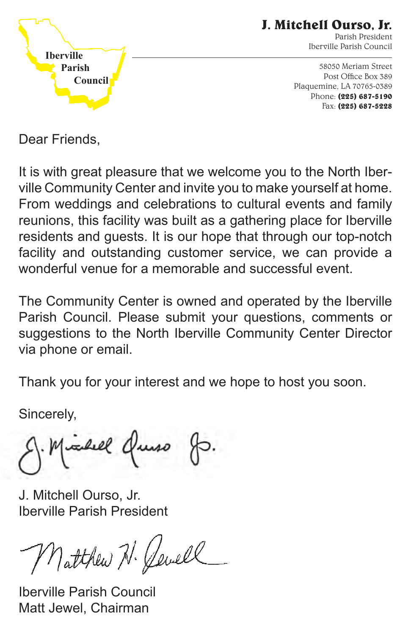

**J. Mitchell Ourso, Jr.**

Parish President Iberville Parish Council

58050 Meriam Street Post Office Box 389 Plaquemine, LA 70765-0389 Phone: **(225) 687-5190** Fax: **(225) 687-5228**

Dear Friends,

It is with great pleasure that we welcome you to the North Iberville Community Center and invite you to make yourself at home. From weddings and celebrations to cultural events and family reunions, this facility was built as a gathering place for Iberville residents and guests. It is our hope that through our top-notch facility and outstanding customer service, we can provide a wonderful venue for a memorable and successful event.

The Community Center is owned and operated by the Iberville Parish Council. Please submit your questions, comments or suggestions to the North Iberville Community Center Director via phone or email.

Thank you for your interest and we hope to host you soon.

Sincerely,

inhel Quiso p.

J. Mitchell Ourso, Jr. Iberville Parish President

Matthew N. Jewell

Iberville Parish Council Matt Jewel, Chairman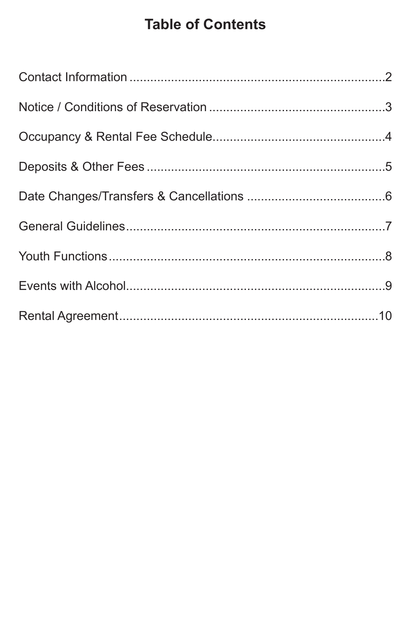# **Table of Contents**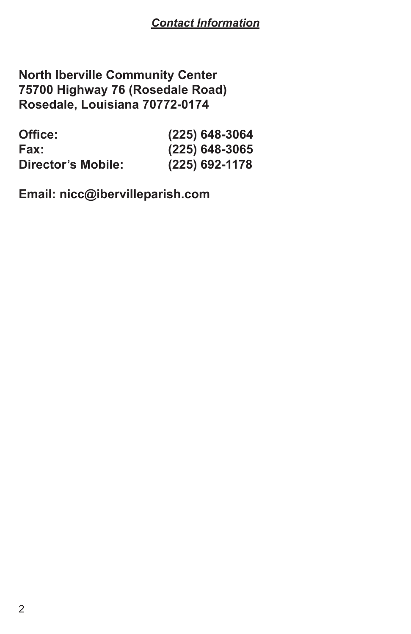# *Contact Information*

**North Iberville Community Center 75700 Highway 76 (Rosedale Road) Rosedale, Louisiana 70772-0174**

| Office:                   | $(225)$ 648-3064 |
|---------------------------|------------------|
| Fax:                      | $(225)$ 648-3065 |
| <b>Director's Mobile:</b> | $(225)$ 692-1178 |

**Email: nicc@ibervilleparish.com**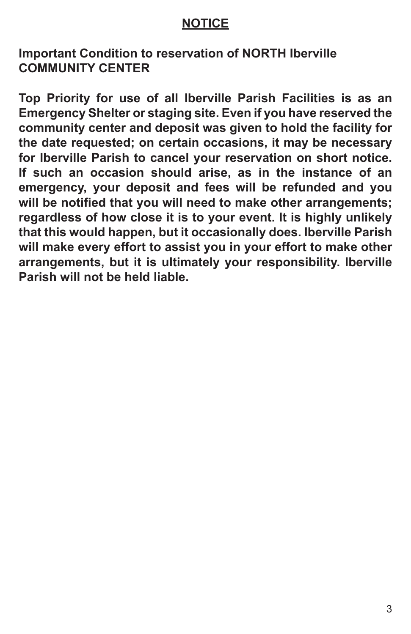# **NOTICE**

**Important Condition to reservation of NORTH Iberville COMMUNITY CENTER**

**Top Priority for use of all Iberville Parish Facilities is as an Emergency Shelter or staging site. Even if you have reserved the community center and deposit was given to hold the facility for the date requested; on certain occasions, it may be necessary for Iberville Parish to cancel your reservation on short notice. If such an occasion should arise, as in the instance of an emergency, your deposit and fees will be refunded and you will be notified that you will need to make other arrangements; regardless of how close it is to your event. It is highly unlikely that this would happen, but it occasionally does. Iberville Parish will make every effort to assist you in your effort to make other arrangements, but it is ultimately your responsibility. Iberville Parish will not be held liable.**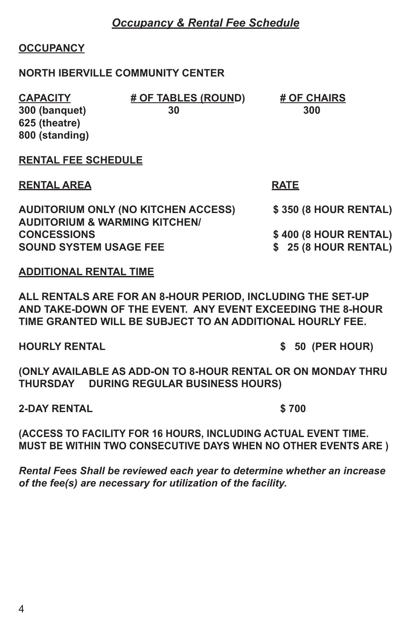# *Occupancy & Rental Fee Schedule*

## **OCCUPANCY**

#### **NORTH IBERVILLE COMMUNITY CENTER**

| <b>CAPACITY</b>     | # OF TABLES (ROUND) | # OF CHAIRS |
|---------------------|---------------------|-------------|
| 300 (banquet)       | 30                  | 300         |
| 625 (theatre)       |                     |             |
| 800 (standing)      |                     |             |
| DENTAL EEE COUFDULE |                     |             |

#### **RENTAL FEE SCHEDULE**

**RENTAL AREA RATE**

**AUDITORIUM ONLY (NO KITCHEN ACCESS) \$ 350 (8 HOUR RENTAL) AUDITORIUM & WARMING KITCHEN/ SOUND SYSTEM USAGE FEE \$ 25 (8 HOUR RENTAL)**

**ADDITIONAL RENTAL TIME**

**ALL RENTALS ARE FOR AN 8-HOUR PERIOD, INCLUDING THE SET-UP AND TAKE-DOWN OF THE EVENT. ANY EVENT EXCEEDING THE 8-HOUR TIME GRANTED WILL BE SUBJECT TO AN ADDITIONAL HOURLY FEE.** 

**HOURLY RENTAL \$ 50 (PER HOUR)**

**(ONLY AVAILABLE AS ADD-ON TO 8-HOUR RENTAL OR ON MONDAY THRU THURSDAY DURING REGULAR BUSINESS HOURS)**

**2-DAY RENTAL \$ 700**

**(ACCESS TO FACILITY FOR 16 HOURS, INCLUDING ACTUAL EVENT TIME. MUST BE WITHIN TWO CONSECUTIVE DAYS WHEN NO OTHER EVENTS ARE )** 

*Rental Fees Shall be reviewed each year to determine whether an increase of the fee(s) are necessary for utilization of the facility.*

**CONCESSIONS \$ 400 (8 HOUR RENTAL)**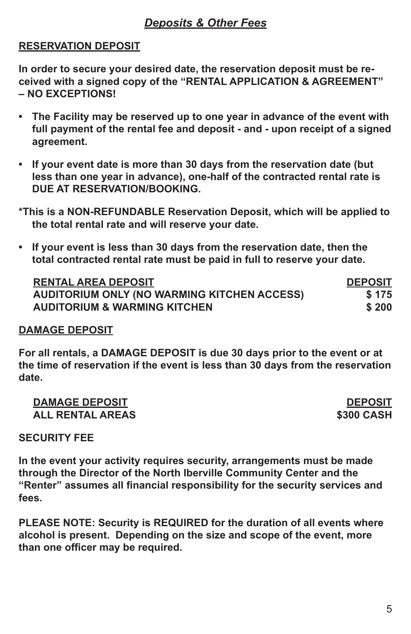#### *Deposits & Other Fees*

#### **RESERVATION DEPOSIT**

**In order to secure your desired date, the reservation deposit must be received with a signed copy of the "RENTAL APPLICATION & AGREEMENT" – NO EXCEPTIONS!** 

- **• The Facility may be reserved up to one year in advance of the event with full payment of the rental fee and deposit - and - upon receipt of a signed agreement.**
- **• If your event date is more than 30 days from the reservation date (but less than one year in advance), one-half of the contracted rental rate is DUE AT RESERVATION/BOOKING.**
- **\*This is a NON-REFUNDABLE Reservation Deposit, which will be applied to the total rental rate and will reserve your date.**
- **• If your event is less than 30 days from the reservation date, then the total contracted rental rate must be paid in full to reserve your date.**

| <b>RENTAL AREA DEPOSIT</b>                  | <b>DEPOSIT</b> |
|---------------------------------------------|----------------|
| AUDITORIUM ONLY (NO WARMING KITCHEN ACCESS) | \$175          |
| <b>AUDITORIUM &amp; WARMING KITCHEN</b>     | \$200          |

#### **DAMAGE DEPOSIT**

**For all rentals, a DAMAGE DEPOSIT is due 30 days prior to the event or at the time of reservation if the event is less than 30 days from the reservation date.** 

| <b>DAMAGE DEPOSIT</b>   | <b>DEPOSIT</b>    |
|-------------------------|-------------------|
| <b>ALL RENTAL AREAS</b> | <b>\$300 CASH</b> |

#### **SECURITY FEE**

**In the event your activity requires security, arrangements must be made through the Director of the North Iberville Community Center and the "Renter" assumes all financial responsibility for the security services and fees.**

**PLEASE NOTE: Security is REQUIRED for the duration of all events where alcohol is present. Depending on the size and scope of the event, more than one officer may be required.**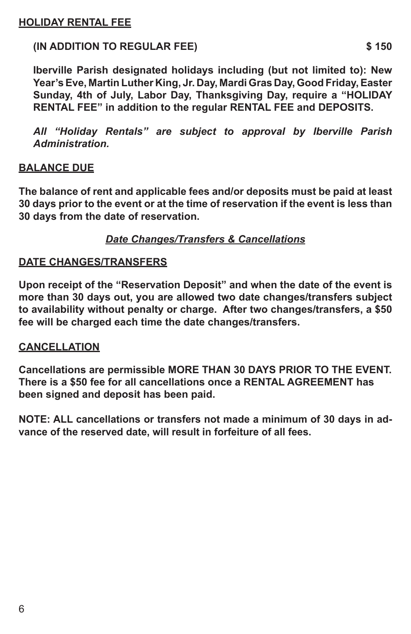#### **(IN ADDITION TO REGULAR FEE) \$ 150**

**Iberville Parish designated holidays including (but not limited to): New Year's Eve, Martin Luther King, Jr. Day, Mardi Gras Day, Good Friday, Easter Sunday, 4th of July, Labor Day, Thanksgiving Day, require a "HOLIDAY RENTAL FEE" in addition to the regular RENTAL FEE and DEPOSITS.**

*All "Holiday Rentals" are subject to approval by Iberville Parish Administration.*

#### **BALANCE DUE**

**The balance of rent and applicable fees and/or deposits must be paid at least 30 days prior to the event or at the time of reservation if the event is less than 30 days from the date of reservation.**

#### *Date Changes/Transfers & Cancellations*

#### **DATE CHANGES/TRANSFERS**

**Upon receipt of the "Reservation Deposit" and when the date of the event is more than 30 days out, you are allowed two date changes/transfers subject to availability without penalty or charge. After two changes/transfers, a \$50 fee will be charged each time the date changes/transfers.** 

#### **CANCELLATION**

**Cancellations are permissible MORE THAN 30 DAYS PRIOR TO THE EVENT. There is a \$50 fee for all cancellations once a RENTAL AGREEMENT has been signed and deposit has been paid.**

**NOTE: ALL cancellations or transfers not made a minimum of 30 days in advance of the reserved date, will result in forfeiture of all fees.**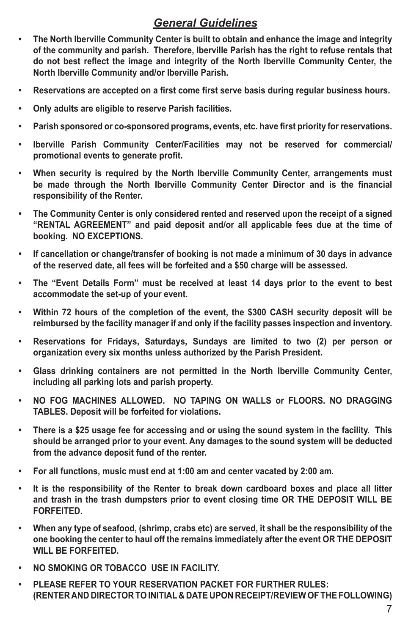# *General Guidelines*

- **• The North Iberville Community Center is built to obtain and enhance the image and integrity of the community and parish. Therefore, Iberville Parish has the right to refuse rentals that do not best reflect the image and integrity of the North Iberville Community Center, the North Iberville Community and/or Iberville Parish.**
- **• Reservations are accepted on a first come first serve basis during regular business hours.**
- **• Only adults are eligible to reserve Parish facilities.**
- **• Parish sponsored or co-sponsored programs, events, etc. have first priority for reservations.**
- **• Iberville Parish Community Center/Facilities may not be reserved for commercial/ promotional events to generate profit.**
- **• When security is required by the North Iberville Community Center, arrangements must be made through the North Iberville Community Center Director and is the financial responsibility of the Renter.**
- **• The Community Center is only considered rented and reserved upon the receipt of a signed "RENTAL AGREEMENT" and paid deposit and/or all applicable fees due at the time of booking. NO EXCEPTIONS.**
- **• If cancellation or change/transfer of booking is not made a minimum of 30 days in advance of the reserved date, all fees will be forfeited and a \$50 charge will be assessed.**
- **• The "Event Details Form" must be received at least 14 days prior to the event to best accommodate the set-up of your event.**
- **• Within 72 hours of the completion of the event, the \$300 CASH security deposit will be reimbursed by the facility manager if and only if the facility passes inspection and inventory.**
- **• Reservations for Fridays, Saturdays, Sundays are limited to two (2) per person or organization every six months unless authorized by the Parish President.**
- **• Glass drinking containers are not permitted in the North Iberville Community Center, including all parking lots and parish property.**
- **• NO FOG MACHINES ALLOWED. NO TAPING ON WALLS or FLOORS. NO DRAGGING TABLES. Deposit will be forfeited for violations.**
- **• There is a \$25 usage fee for accessing and or using the sound system in the facility. This should be arranged prior to your event. Any damages to the sound system will be deducted from the advance deposit fund of the renter.**
- **• For all functions, music must end at 1:00 am and center vacated by 2:00 am.**
- **• It is the responsibility of the Renter to break down cardboard boxes and place all litter and trash in the trash dumpsters prior to event closing time OR THE DEPOSIT WILL BE FORFEITED.**
- **• When any type of seafood, (shrimp, crabs etc) are served, it shall be the responsibility of the one booking the center to haul off the remains immediately after the event OR THE DEPOSIT WILL BE FORFEITED.**
- **• NO SMOKING OR TOBACCO USE IN FACILITY.**
- **• PLEASE REFER TO YOUR RESERVATION PACKET FOR FURTHER RULES: (RENTER AND DIRECTOR TO INITIAL & DATE UPON RECEIPT/REVIEW OF THE FOLLOWING)**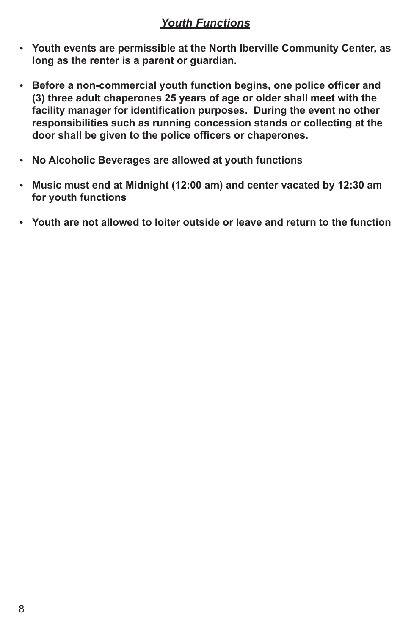### *Youth Functions*

- **• Youth events are permissible at the North Iberville Community Center, as long as the renter is a parent or guardian.**
- **• Before a non-commercial youth function begins, one police officer and (3) three adult chaperones 25 years of age or older shall meet with the facility manager for identification purposes. During the event no other responsibilities such as running concession stands or collecting at the door shall be given to the police officers or chaperones.**
- **• No Alcoholic Beverages are allowed at youth functions**
- **• Music must end at Midnight (12:00 am) and center vacated by 12:30 am for youth functions**
- **• Youth are not allowed to loiter outside or leave and return to the function**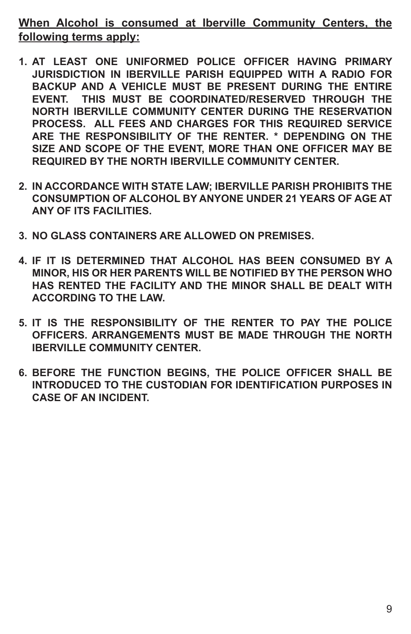**When Alcohol is consumed at Iberville Community Centers, the following terms apply:**

- **1. AT LEAST ONE UNIFORMED POLICE OFFICER HAVING PRIMARY JURISDICTION IN IBERVILLE PARISH EQUIPPED WITH A RADIO FOR BACKUP AND A VEHICLE MUST BE PRESENT DURING THE ENTIRE EVENT. THIS MUST BE COORDINATED/RESERVED THROUGH THE NORTH IBERVILLE COMMUNITY CENTER DURING THE RESERVATION PROCESS. ALL FEES AND CHARGES FOR THIS REQUIRED SERVICE ARE THE RESPONSIBILITY OF THE RENTER. \* DEPENDING ON THE SIZE AND SCOPE OF THE EVENT, MORE THAN ONE OFFICER MAY BE REQUIRED BY THE NORTH IBERVILLE COMMUNITY CENTER.**
- **2. IN ACCORDANCE WITH STATE LAW; IBERVILLE PARISH PROHIBITS THE CONSUMPTION OF ALCOHOL BY ANYONE UNDER 21 YEARS OF AGE AT ANY OF ITS FACILITIES.**
- **3. NO GLASS CONTAINERS ARE ALLOWED ON PREMISES.**
- **4. IF IT IS DETERMINED THAT ALCOHOL HAS BEEN CONSUMED BY A MINOR, HIS OR HER PARENTS WILL BE NOTIFIED BY THE PERSON WHO HAS RENTED THE FACILITY AND THE MINOR SHALL BE DEALT WITH ACCORDING TO THE LAW.**
- **5. IT IS THE RESPONSIBILITY OF THE RENTER TO PAY THE POLICE OFFICERS. ARRANGEMENTS MUST BE MADE THROUGH THE NORTH IBERVILLE COMMUNITY CENTER.**
- **6. BEFORE THE FUNCTION BEGINS, THE POLICE OFFICER SHALL BE INTRODUCED TO THE CUSTODIAN FOR IDENTIFICATION PURPOSES IN CASE OF AN INCIDENT.**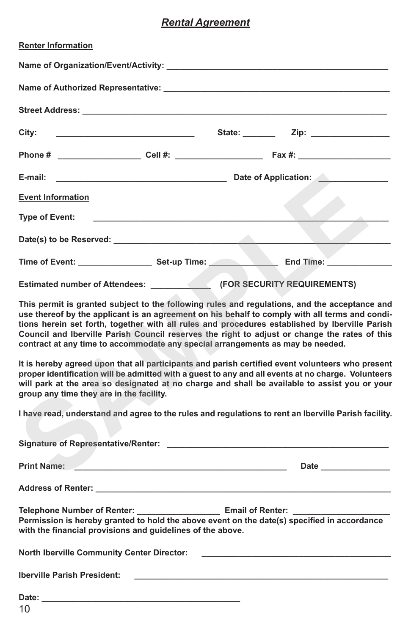#### *Rental Agreement*

| <b>Renter Information</b>                                                                                                                                                                                                                                                                                                                                                                                                                                                            |
|--------------------------------------------------------------------------------------------------------------------------------------------------------------------------------------------------------------------------------------------------------------------------------------------------------------------------------------------------------------------------------------------------------------------------------------------------------------------------------------|
| Name of Organization/Event/Activity:                                                                                                                                                                                                                                                                                                                                                                                                                                                 |
| Name of Authorized Representative: Name of Authorized Representative                                                                                                                                                                                                                                                                                                                                                                                                                 |
| Street Address: The Contract of the Contract of the Contract of the Contract of the Contract of the Contract of the Contract of the Contract of the Contract of the Contract of the Contract of the Contract of the Contract o                                                                                                                                                                                                                                                       |
| State: _________ Zip: _________________<br>City:                                                                                                                                                                                                                                                                                                                                                                                                                                     |
|                                                                                                                                                                                                                                                                                                                                                                                                                                                                                      |
|                                                                                                                                                                                                                                                                                                                                                                                                                                                                                      |
| <b>Event Information</b>                                                                                                                                                                                                                                                                                                                                                                                                                                                             |
| Type of Event:                                                                                                                                                                                                                                                                                                                                                                                                                                                                       |
|                                                                                                                                                                                                                                                                                                                                                                                                                                                                                      |
|                                                                                                                                                                                                                                                                                                                                                                                                                                                                                      |
| Estimated number of Attendees: (FOR SECURITY REQUIREMENTS)                                                                                                                                                                                                                                                                                                                                                                                                                           |
| This permit is granted subject to the following rules and regulations, and the acceptance and<br>use thereof by the applicant is an agreement on his behalf to comply with all terms and condi-<br>tions herein set forth, together with all rules and procedures established by Iberville Parish<br>Council and Iberville Parish Council reserves the right to adjust or change the rates of this<br>contract at any time to accommodate any special arrangements as may be needed. |
| It is hereby agreed upon that all participants and parish certified event volunteers who present<br>proper identification will be admitted with a quest to any and all events at no charge. Volunteers<br>will park at the area so designated at no charge and shall be available to assist you or your<br>group any time they are in the facility.                                                                                                                                  |
| I have read, understand and agree to the rules and regulations to rent an Iberville Parish facility.                                                                                                                                                                                                                                                                                                                                                                                 |
|                                                                                                                                                                                                                                                                                                                                                                                                                                                                                      |
| Date and the state of the state of the state of the state of the state of the state of the state of the state of the state of the state of the state of the state of the state of the state of the state of the state of the s                                                                                                                                                                                                                                                       |

| <b>Print Name:</b><br><u> 1989 - Johann Stein, fransk politik (d. 1989)</u>                                                                               | Date ________________ |  |
|-----------------------------------------------------------------------------------------------------------------------------------------------------------|-----------------------|--|
|                                                                                                                                                           |                       |  |
| Permission is hereby granted to hold the above event on the date(s) specified in accordance<br>with the financial provisions and guidelines of the above. |                       |  |
|                                                                                                                                                           |                       |  |
| <b>Iberville Parish President:</b>                                                                                                                        |                       |  |
|                                                                                                                                                           |                       |  |

10